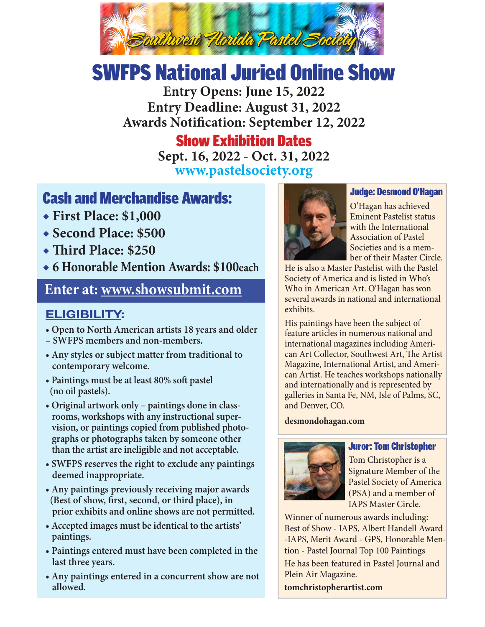

# SWFPS National Juried Online Show

**Entry Opens: June 15, 2022 Entry Deadline: August 31, 2022 Awards Notification: September 12, 2022**

# Show Exhibition Dates

**Sept. 16, 2022 - Oct. 31, 2022 www.pastelsociety.org**

# Cash and Merchandise Awards:

- **◆ First Place: \$1,000**
- **◆ Second Place: \$500**
- **◆ Third Place: \$250**
- **◆ 6 Honorable Mention Awards: \$100each**

## **Enter at: www.showsubmit.com**

## **ELIGIBILITY:**

**• Open to North American artists 18 years and older** 

- **SWFPS members and non-members.**
- **Any styles or subject matter from traditional to contemporary welcome.**
- **Paintings must be at least 80% soft pastel (no oil pastels).**
- **Original artwork only paintings done in class rooms, workshops with any instructional super vision, or paintings copied from published photo graphs or photographs taken by someone other than the artist are ineligible and not acceptable.**
- **SWFPS reserves the right to exclude any paintings deemed inappropriate.**
- **Any paintings previously receiving major awards (Best of show, first, second, or third place), in prior exhibits and online shows are not permitted.**
- **Accepted images must be identical to the artists' paintings.**
- **Paintings entered must have been completed in the last three years.**
- **Any paintings entered in a concurrent show are not allowed.**



#### Judge: Desmond O'Hagan

O'Hagan has achieved Eminent Pastelist status with the International Association of Pastel Societies and is a member of their Master Circle.

He is also a Master Pastelist with the Pastel Society of America and is listed in Who's Who in American Art. O'Hagan has won several awards in national and international exhibits.

His paintings have been the subject of feature articles in numerous national and international magazines including American Art Collector, Southwest Art, The Artist Magazine, International Artist, and American Artist. He teaches workshops nationally and internationally and is represented by galleries in Santa Fe, NM, Isle of Palms, SC, and Denver, CO.

#### **desmondohagan.com**



#### Juror: Tom Christopher

Tom Christopher is a Signature Member of the Pastel Society of America (PSA) and a member of IAPS Master Circle.

Winner of numerous awards including: Best of Show - IAPS, Albert Handell Award -IAPS, Merit Award - GPS, Honorable Mention - Pastel Journal Top 100 Paintings He has been featured in Pastel Journal and Plein Air Magazine. **tomchristopherartist.com**